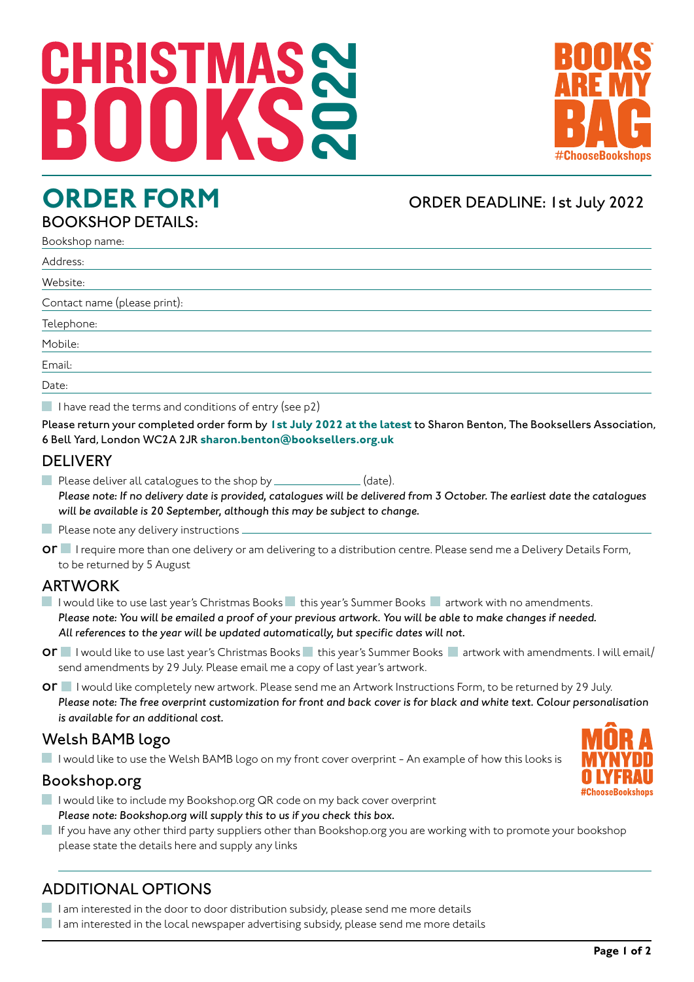# 2022 CHRISTMA



### BOOKSHOP DETAILS:

### **ORDER FORM** ORDER DEADLINE: 1st July 2022

| Bookshop name:               |
|------------------------------|
| Address:                     |
| Website:                     |
| Contact name (please print): |
| Telephone:                   |
| Mobile:                      |
| Email:                       |
| Date:                        |

I have read the terms and conditions of entry (see  $p2$ )

Please return your completed order form by **1st July 2022 at the latest** to Sharon Benton, The Booksellers Association, 6 Bell Yard, London WC2A 2JR **sharon.benton@booksellers.org.uk**

#### **DELIVERY**

Please deliver all catalogues to the shop by \_\_\_\_\_\_\_\_\_\_\_\_\_(date). *Please note: If no delivery date is provided, catalogues will be delivered from 3 October. The earliest date the catalogues will be available is 20 September, although this may be subject to change.*

 $\blacksquare$  Please note any delivery instructions.

or I require more than one delivery or am delivering to a distribution centre. Please send me a Delivery Details Form, to be returned by 5 August

#### ARTWORK

I would like to use last year's Christmas Books I this year's Summer Books I artwork with no amendments. *Please note: You will be emailed a proof of your previous artwork. You will be able to make changes if needed. All references to the year will be updated automatically, but specific dates will not.*

**OF** I would like to use last year's Christmas Books this year's Summer Books artwork with amendments. I will email/ send amendments by 29 July. Please email me a copy of last year's artwork.

or I would like completely new artwork. Please send me an Artwork Instructions Form, to be returned by 29 July. *Please note: The free overprint customization for front and back cover is for black and white text. Colour personalisation is available for an additional cost.*

#### Welsh BAMB logo

I would like to use the Welsh BAMB logo on my front cover overprint - An example of how this looks is

#### Bookshop.org

- I would like to include my Bookshop.org QR code on my back cover overprint *Please note: Bookshop.org will supply this to us if you check this box.*
- If you have any other third party suppliers other than Bookshop.org you are working with to promote your bookshop please state the details here and supply any links

#### ADDITIONAL OPTIONS

 $\Box$  I am interested in the door to door distribution subsidy, please send me more details

I am interested in the local newspaper advertising subsidy, please send me more details